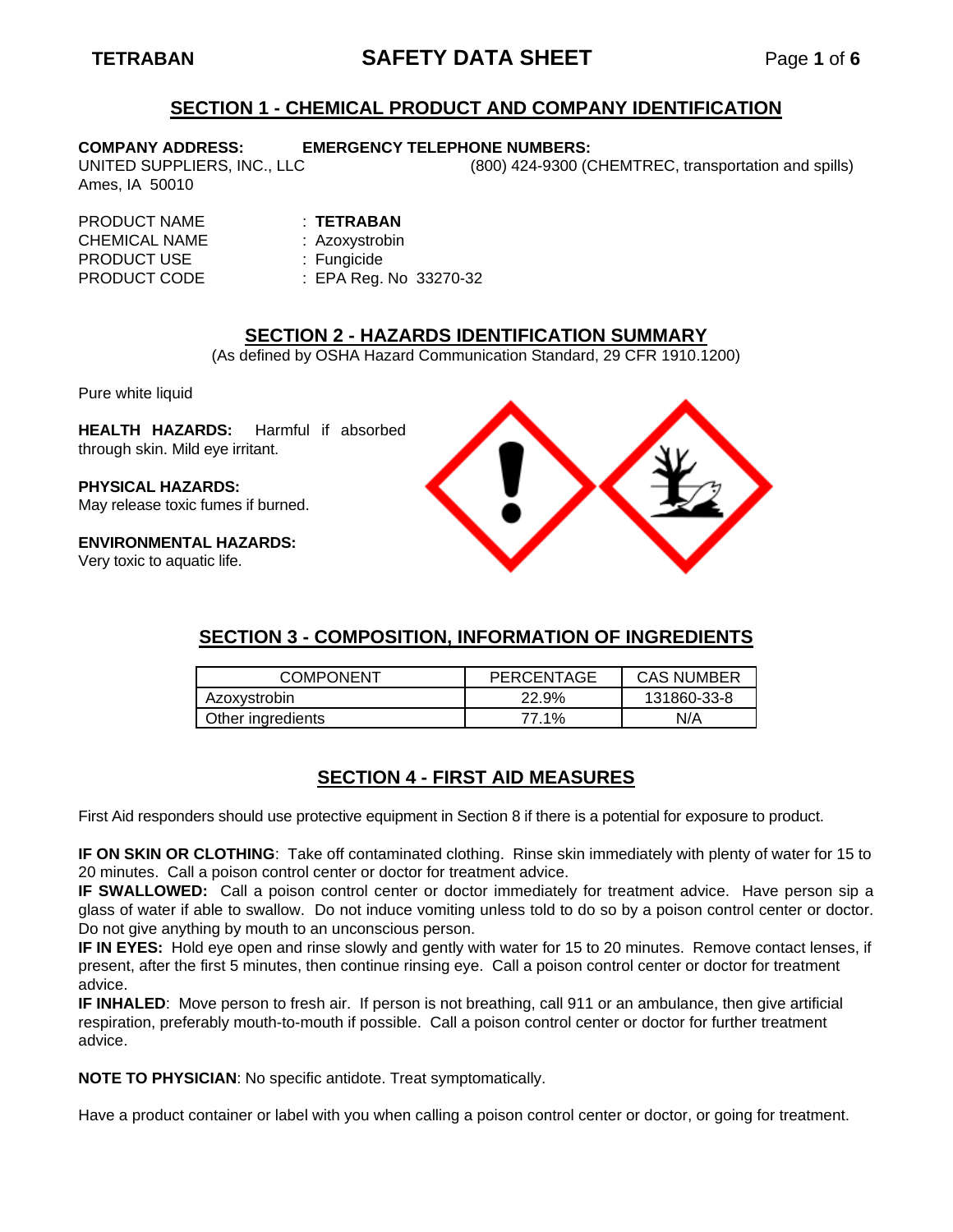# **TETRABAN SAFETY DATA SHEET** Page **1** of **6**

## **SECTION 1 - CHEMICAL PRODUCT AND COMPANY IDENTIFICATION**

Ames, IA 50010

#### **COMPANY ADDRESS: EMERGENCY TELEPHONE NUMBERS:**

UNITED SUPPLIERS, INC., LLC (800) 424-9300 (CHEMTREC, transportation and spills)

#### PRODUCT NAME : **TETRABAN**

CHEMICAL NAME : Azoxystrobin PRODUCT USE : Fungicide

PRODUCT CODE : EPA Reg. No 33270-32

## **SECTION 2 - HAZARDS IDENTIFICATION SUMMARY**

(As defined by OSHA Hazard Communication Standard, 29 CFR 1910.1200)

Pure white liquid

**HEALTH HAZARDS:** Harmful if absorbed through skin. Mild eye irritant.

**PHYSICAL HAZARDS:** May release toxic fumes if burned.

**ENVIRONMENTAL HAZARDS:**

Very toxic to aquatic life.



# **SECTION 3 - COMPOSITION, INFORMATION OF INGREDIENTS**

| <b>COMPONENT</b>  | PERCENTAGE | <b>CAS NUMBER</b> |
|-------------------|------------|-------------------|
| Azoxystrobin      | 22.9%      | 131860-33-8       |
| Other ingredients | 77.1%      | N/A               |

# **SECTION 4 - FIRST AID MEASURES**

First Aid responders should use protective equipment in Section 8 if there is a potential for exposure to product.

**IF ON SKIN OR CLOTHING**: Take off contaminated clothing. Rinse skin immediately with plenty of water for 15 to 20 minutes. Call a poison control center or doctor for treatment advice.

**IF SWALLOWED:** Call a poison control center or doctor immediately for treatment advice. Have person sip a glass of water if able to swallow. Do not induce vomiting unless told to do so by a poison control center or doctor. Do not give anything by mouth to an unconscious person.

**IF IN EYES:** Hold eye open and rinse slowly and gently with water for 15 to 20 minutes. Remove contact lenses, if present, after the first 5 minutes, then continue rinsing eye. Call a poison control center or doctor for treatment advice.

**IF INHALED**: Move person to fresh air. If person is not breathing, call 911 or an ambulance, then give artificial respiration, preferably mouth-to-mouth if possible. Call a poison control center or doctor for further treatment advice.

**NOTE TO PHYSICIAN**: No specific antidote. Treat symptomatically.

Have a product container or label with you when calling a poison control center or doctor, or going for treatment.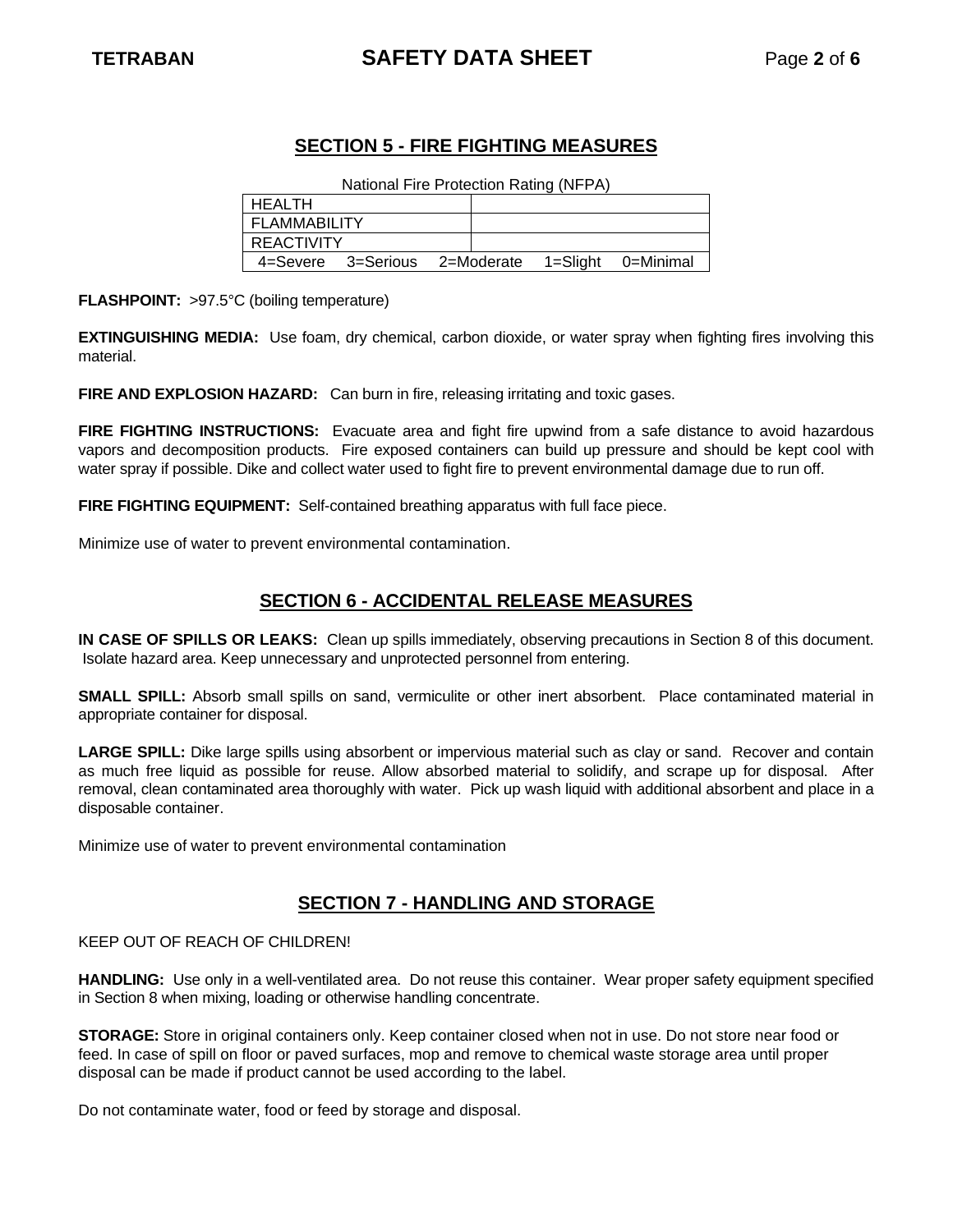# **TETRABAN SAFETY DATA SHEET** Page **2** of **6**

# **SECTION 5 - FIRE FIGHTING MEASURES**

National Fire Protection Rating (NFPA)

| HEALTH            |           |            |  |          |           |
|-------------------|-----------|------------|--|----------|-----------|
| FLAMMABILITY      |           |            |  |          |           |
| <b>REACTIVITY</b> |           |            |  |          |           |
| 4=Severe          | 3=Serious | 2=Moderate |  | 1=Slight | 0=Minimal |

**FLASHPOINT:** >97.5°C (boiling temperature)

**EXTINGUISHING MEDIA:** Use foam, dry chemical, carbon dioxide, or water spray when fighting fires involving this material.

**FIRE AND EXPLOSION HAZARD:** Can burn in fire, releasing irritating and toxic gases.

**FIRE FIGHTING INSTRUCTIONS:** Evacuate area and fight fire upwind from a safe distance to avoid hazardous vapors and decomposition products. Fire exposed containers can build up pressure and should be kept cool with water spray if possible. Dike and collect water used to fight fire to prevent environmental damage due to run off.

**FIRE FIGHTING EQUIPMENT:** Self-contained breathing apparatus with full face piece.

Minimize use of water to prevent environmental contamination.

## **SECTION 6 - ACCIDENTAL RELEASE MEASURES**

**IN CASE OF SPILLS OR LEAKS:** Clean up spills immediately, observing precautions in Section 8 of this document. Isolate hazard area. Keep unnecessary and unprotected personnel from entering.

**SMALL SPILL:** Absorb small spills on sand, vermiculite or other inert absorbent. Place contaminated material in appropriate container for disposal.

**LARGE SPILL:** Dike large spills using absorbent or impervious material such as clay or sand. Recover and contain as much free liquid as possible for reuse. Allow absorbed material to solidify, and scrape up for disposal. After removal, clean contaminated area thoroughly with water. Pick up wash liquid with additional absorbent and place in a disposable container.

Minimize use of water to prevent environmental contamination

## **SECTION 7 - HANDLING AND STORAGE**

KEEP OUT OF REACH OF CHILDREN!

**HANDLING:** Use only in a well-ventilated area. Do not reuse this container. Wear proper safety equipment specified in Section 8 when mixing, loading or otherwise handling concentrate.

**STORAGE:** Store in original containers only. Keep container closed when not in use. Do not store near food or feed. In case of spill on floor or paved surfaces, mop and remove to chemical waste storage area until proper disposal can be made if product cannot be used according to the label.

Do not contaminate water, food or feed by storage and disposal.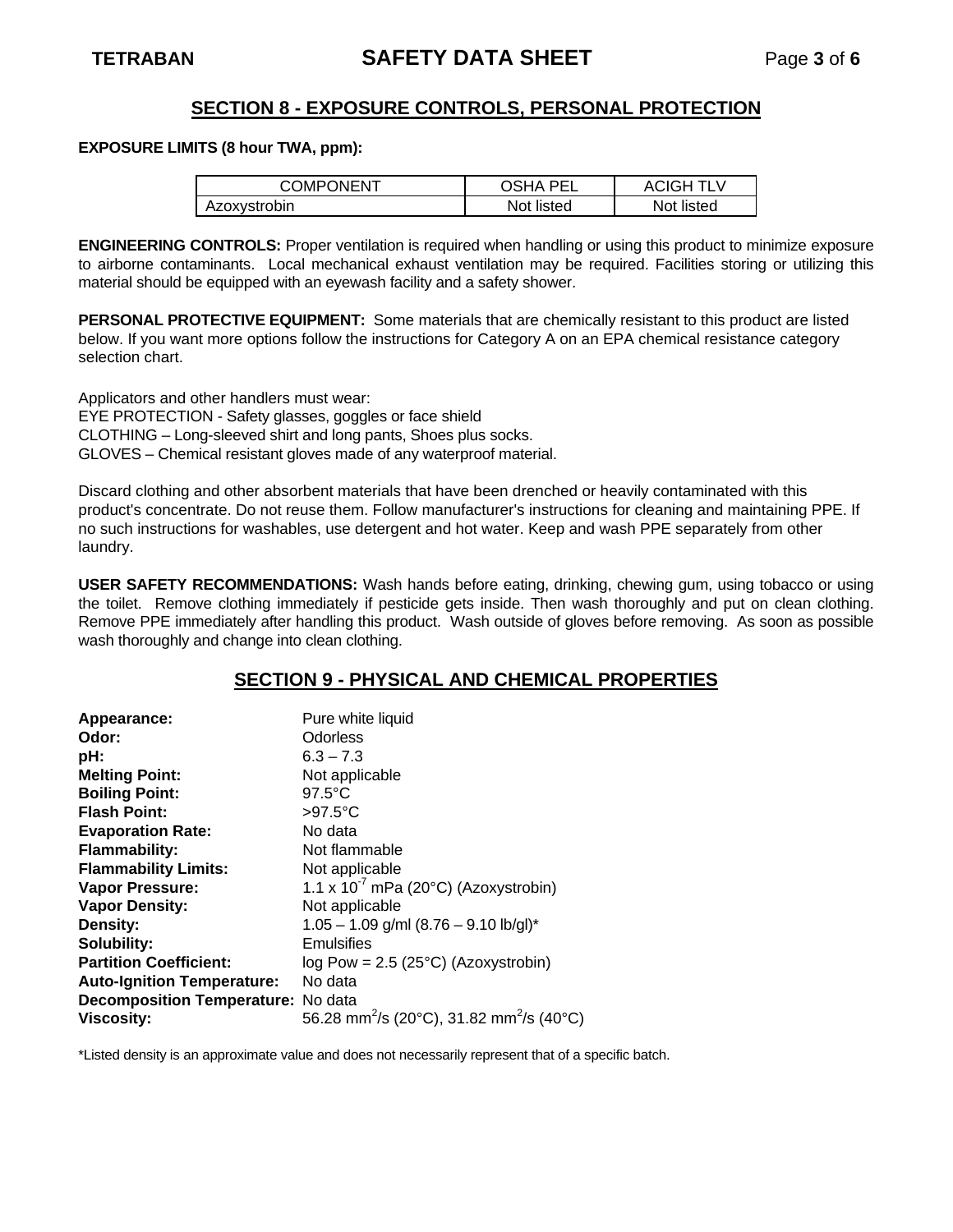## **SECTION 8 - EXPOSURE CONTROLS, PERSONAL PROTECTION**

#### **EXPOSURE LIMITS (8 hour TWA, ppm):**

| <b>COMPONENT</b> | OSHA<br><b>PEI</b> | <b>ACIGH TLV</b> |
|------------------|--------------------|------------------|
| Azoxystrobin     | Not listed         | Not listed       |

**ENGINEERING CONTROLS:** Proper ventilation is required when handling or using this product to minimize exposure to airborne contaminants. Local mechanical exhaust ventilation may be required. Facilities storing or utilizing this material should be equipped with an eyewash facility and a safety shower.

**PERSONAL PROTECTIVE EQUIPMENT:** Some materials that are chemically resistant to this product are listed below. If you want more options follow the instructions for Category A on an EPA chemical resistance category selection chart.

Applicators and other handlers must wear:

EYE PROTECTION - Safety glasses, goggles or face shield

CLOTHING – Long-sleeved shirt and long pants, Shoes plus socks.

GLOVES – Chemical resistant gloves made of any waterproof material.

Discard clothing and other absorbent materials that have been drenched or heavily contaminated with this product's concentrate. Do not reuse them. Follow manufacturer's instructions for cleaning and maintaining PPE. If no such instructions for washables, use detergent and hot water. Keep and wash PPE separately from other laundry.

**USER SAFETY RECOMMENDATIONS:** Wash hands before eating, drinking, chewing gum, using tobacco or using the toilet. Remove clothing immediately if pesticide gets inside. Then wash thoroughly and put on clean clothing. Remove PPE immediately after handling this product. Wash outside of gloves before removing. As soon as possible wash thoroughly and change into clean clothing.

## **SECTION 9 - PHYSICAL AND CHEMICAL PROPERTIES**

| Appearance:                               | Pure white liquid                                                |
|-------------------------------------------|------------------------------------------------------------------|
| Odor:                                     | <b>Odorless</b>                                                  |
| pH:                                       | $6.3 - 7.3$                                                      |
| <b>Melting Point:</b>                     | Not applicable                                                   |
| <b>Boiling Point:</b>                     | $97.5^{\circ}$ C                                                 |
| <b>Flash Point:</b>                       | $>97.5^{\circ}$ C                                                |
| <b>Evaporation Rate:</b>                  | No data                                                          |
| <b>Flammability:</b>                      | Not flammable                                                    |
| <b>Flammability Limits:</b>               | Not applicable                                                   |
| <b>Vapor Pressure:</b>                    | 1.1 x $10^{-7}$ mPa (20°C) (Azoxystrobin)                        |
| <b>Vapor Density:</b>                     | Not applicable                                                   |
| Density:                                  | $1.05 - 1.09$ g/ml $(8.76 - 9.10$ lb/gl)*                        |
| Solubility:                               | Emulsifies                                                       |
| <b>Partition Coefficient:</b>             | log Pow = $2.5$ ( $25^{\circ}$ C) (Azoxystrobin)                 |
| <b>Auto-Ignition Temperature:</b>         | No data                                                          |
| <b>Decomposition Temperature:</b> No data |                                                                  |
| <b>Viscosity:</b>                         | 56.28 mm <sup>2</sup> /s (20°C), 31.82 mm <sup>2</sup> /s (40°C) |

\*Listed density is an approximate value and does not necessarily represent that of a specific batch.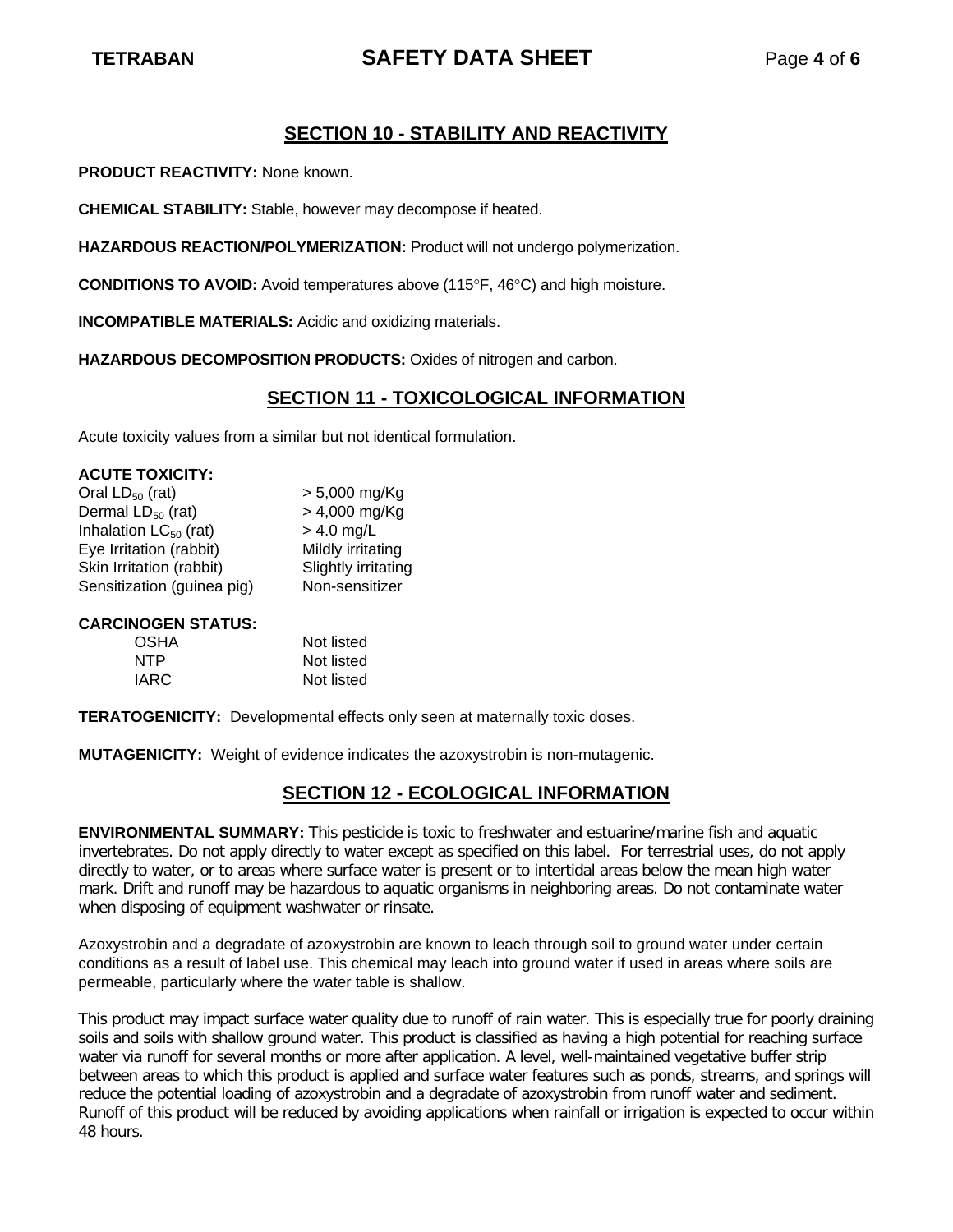# **TETRABAN SAFETY DATA SHEET** Page **4** of **6**

# **SECTION 10 - STABILITY AND REACTIVITY**

**PRODUCT REACTIVITY:** None known.

**CHEMICAL STABILITY:** Stable, however may decompose if heated.

**HAZARDOUS REACTION/POLYMERIZATION:** Product will not undergo polymerization.

**CONDITIONS TO AVOID:** Avoid temperatures above (115°F, 46°C) and high moisture.

**INCOMPATIBLE MATERIALS:** Acidic and oxidizing materials.

**HAZARDOUS DECOMPOSITION PRODUCTS:** Oxides of nitrogen and carbon.

## **SECTION 11 - TOXICOLOGICAL INFORMATION**

Acute toxicity values from a similar but not identical formulation.

| <b>ACUTE TOXICITY:</b>     |                     |
|----------------------------|---------------------|
| Oral $LD_{50}$ (rat)       | $> 5,000$ mg/Kg     |
| Dermal $LD_{50}$ (rat)     | > 4,000 mg/Kg       |
| Inhalation $LC_{50}$ (rat) | $> 4.0$ mg/L        |
| Eye Irritation (rabbit)    | Mildly irritating   |
| Skin Irritation (rabbit)   | Slightly irritating |
| Sensitization (guinea pig) | Non-sensitizer      |
|                            |                     |

### **CARCINOGEN STATUS:**

| <b>OSHA</b> | Not listed |
|-------------|------------|
| NTP         | Not listed |
| IARC        | Not listed |

**TERATOGENICITY:** Developmental effects only seen at maternally toxic doses.

**MUTAGENICITY:** Weight of evidence indicates the azoxystrobin is non-mutagenic.

# **SECTION 12 - ECOLOGICAL INFORMATION**

**ENVIRONMENTAL SUMMARY:** This pesticide is toxic to freshwater and estuarine/marine fish and aquatic invertebrates. Do not apply directly to water except as specified on this label. For terrestrial uses, do not apply directly to water, or to areas where surface water is present or to intertidal areas below the mean high water mark. Drift and runoff may be hazardous to aquatic organisms in neighboring areas. Do not contaminate water when disposing of equipment washwater or rinsate.

Azoxystrobin and a degradate of azoxystrobin are known to leach through soil to ground water under certain conditions as a result of label use. This chemical may leach into ground water if used in areas where soils are permeable, particularly where the water table is shallow.

This product may impact surface water quality due to runoff of rain water. This is especially true for poorly draining soils and soils with shallow ground water. This product is classified as having a high potential for reaching surface water via runoff for several months or more after application. A level, well-maintained vegetative buffer strip between areas to which this product is applied and surface water features such as ponds, streams, and springs will reduce the potential loading of azoxystrobin and a degradate of azoxystrobin from runoff water and sediment. Runoff of this product will be reduced by avoiding applications when rainfall or irrigation is expected to occur within 48 hours.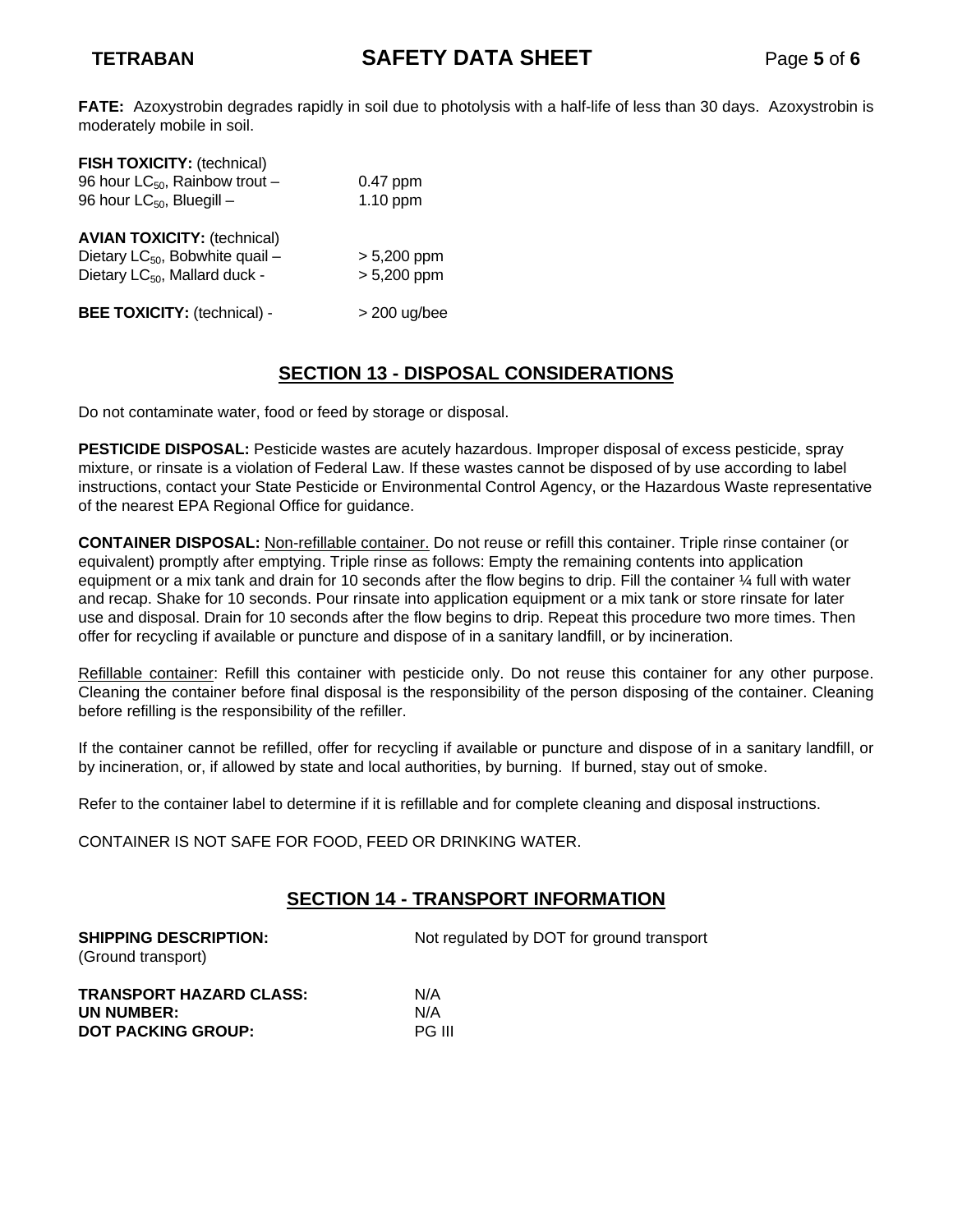**FATE:** Azoxystrobin degrades rapidly in soil due to photolysis with a half-life of less than 30 days. Azoxystrobin is moderately mobile in soil.

| FISH TOXICITY: (technical)<br>96 hour $LC_{50}$ , Rainbow trout -<br>96 hour $LC_{50}$ , Bluegill –                            | $0.47$ ppm<br>1.10 ppm         |
|--------------------------------------------------------------------------------------------------------------------------------|--------------------------------|
| <b>AVIAN TOXICITY: (technical)</b><br>Dietary LC <sub>50</sub> , Bobwhite quail -<br>Dietary LC <sub>50</sub> , Mallard duck - | $> 5,200$ ppm<br>$> 5,200$ ppm |
| <b>BEE TOXICITY: (technical) -</b>                                                                                             | $>$ 200 ug/bee                 |

# **SECTION 13 - DISPOSAL CONSIDERATIONS**

Do not contaminate water, food or feed by storage or disposal.

**PESTICIDE DISPOSAL:** Pesticide wastes are acutely hazardous. Improper disposal of excess pesticide, spray mixture, or rinsate is a violation of Federal Law. If these wastes cannot be disposed of by use according to label instructions, contact your State Pesticide or Environmental Control Agency, or the Hazardous Waste representative of the nearest EPA Regional Office for guidance.

**CONTAINER DISPOSAL:** Non-refillable container. Do not reuse or refill this container. Triple rinse container (or equivalent) promptly after emptying. Triple rinse as follows: Empty the remaining contents into application equipment or a mix tank and drain for 10 seconds after the flow begins to drip. Fill the container ¼ full with water and recap. Shake for 10 seconds. Pour rinsate into application equipment or a mix tank or store rinsate for later use and disposal. Drain for 10 seconds after the flow begins to drip. Repeat this procedure two more times. Then offer for recycling if available or puncture and dispose of in a sanitary landfill, or by incineration.

Refillable container: Refill this container with pesticide only. Do not reuse this container for any other purpose. Cleaning the container before final disposal is the responsibility of the person disposing of the container. Cleaning before refilling is the responsibility of the refiller.

If the container cannot be refilled, offer for recycling if available or puncture and dispose of in a sanitary landfill, or by incineration, or, if allowed by state and local authorities, by burning. If burned, stay out of smoke.

Refer to the container label to determine if it is refillable and for complete cleaning and disposal instructions.

CONTAINER IS NOT SAFE FOR FOOD, FEED OR DRINKING WATER.

# **SECTION 14 - TRANSPORT INFORMATION**

**SHIPPING DESCRIPTION:** Not regulated by DOT for ground transport (Ground transport)

| TRANSPORT HAZARD CLASS:   | N/A           |
|---------------------------|---------------|
| UN NUMBER:                | N/A           |
| <b>DOT PACKING GROUP:</b> | <b>PG III</b> |